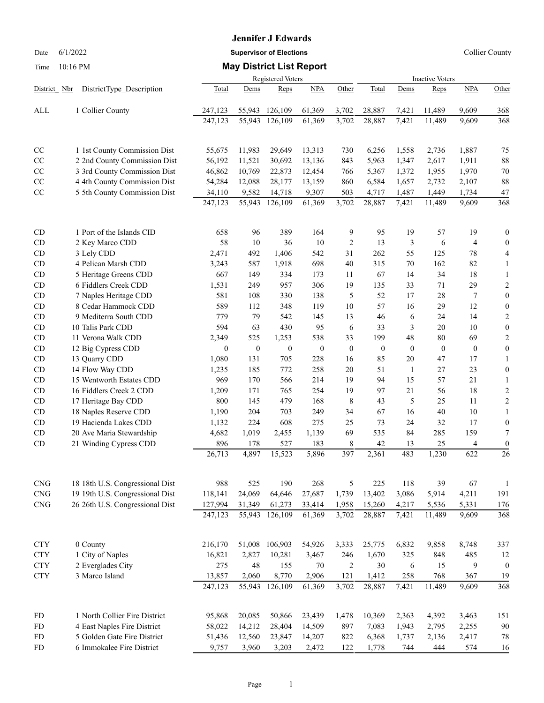## **Jennifer J Edwards**

Date 6/1/2022 **Supervisor of Elections Supervisor of Elections** Collier County

## Time 10:16 PM **May District List Report**

|                             |  | DistrictType Description        |               | <b>Inactive Voters</b> |                  |                  |                |                  |              |                  |                       |                                     |
|-----------------------------|--|---------------------------------|---------------|------------------------|------------------|------------------|----------------|------------------|--------------|------------------|-----------------------|-------------------------------------|
| District Nbr                |  |                                 | Total         | Dems                   | Reps             | NPA              | Other          | Total            | Dems         | Reps             | <b>NPA</b>            | Other                               |
| ALL                         |  | 1 Collier County                | 247,123       | 55,943                 | 126,109          | 61,369           | 3,702          | 28,887           | 7,421        | 11,489           | 9,609                 | 368                                 |
|                             |  |                                 | 247,123       | 55,943                 | 126,109          | 61,369           | 3,702          | 28,887           | 7,421        | 11,489           | 9,609                 | 368                                 |
| CC                          |  | 1 1st County Commission Dist    | 55,675        | 11,983                 | 29,649           | 13,313           | 730            | 6,256            | 1,558        | 2,736            | 1,887                 | 75                                  |
| CC                          |  | 2 2nd County Commission Dist    | 56,192        | 11,521                 | 30,692           | 13,136           | 843            | 5,963            | 1,347        | 2,617            | 1,911                 | 88                                  |
| CC                          |  | 3 3rd County Commission Dist    | 46,862        | 10,769                 | 22,873           | 12,454           | 766            | 5,367            | 1,372        | 1,955            | 1,970                 | 70                                  |
| CC                          |  | 4 4th County Commission Dist    | 54,284        | 12,088                 | 28,177           | 13,159           | 860            | 6,584            | 1,657        | 2,732            | 2,107                 | 88                                  |
| CC                          |  | 5 5th County Commission Dist    | 34,110        | 9,582                  | 14,718           | 9,307            | 503            | 4,717            | 1,487        | 1,449            | 1,734                 | 47                                  |
|                             |  |                                 | 247,123       | 55,943                 | 126,109          | 61,369           | 3,702          | 28,887           | 7,421        | 11,489           | 9,609                 | 368                                 |
| CD                          |  | 1 Port of the Islands CID       | 658           | 96                     | 389              | 164              | 9              | 95               | 19           | 57               | 19                    | $\boldsymbol{0}$                    |
| <b>CD</b>                   |  | 2 Key Marco CDD                 | 58            | 10                     | 36               | 10               | $\overline{2}$ | 13               | 3            | 6                | 4                     | $\mathbf{0}$                        |
| CD                          |  | 3 Lely CDD                      | 2,471         | 492                    | 1,406            | 542              | 31             | 262              | 55           | 125              | 78                    | 4                                   |
| CD                          |  | 4 Pelican Marsh CDD             | 3,243         | 587                    | 1,918            | 698              | 40             | 315              | 70           | 162              | 82                    | 1                                   |
| CD                          |  | 5 Heritage Greens CDD           | 667           | 149                    | 334              | 173              | 11             | 67               | 14           | 34               | 18                    | 1                                   |
| CD                          |  | 6 Fiddlers Creek CDD            | 1,531         | 249                    | 957              | 306              | 19             | 135              | 33           | 71               | 29                    | $\boldsymbol{2}$                    |
| CD                          |  | 7 Naples Heritage CDD           | 581           | 108                    | 330              | 138              | 5              | 52               | 17           | 28               | 7                     | $\boldsymbol{0}$                    |
| CD                          |  | 8 Cedar Hammock CDD             | 589           | 112                    | 348              | 119              | 10             | 57               | 16           | 29               | 12                    | $\boldsymbol{0}$                    |
| CD                          |  | 9 Mediterra South CDD           | 779           | 79                     | 542              | 145              | 13             | 46               | 6            | 24               | 14                    | $\boldsymbol{2}$                    |
| CD                          |  | 10 Talis Park CDD               | 594           | 63                     | 430              | 95               | 6              | 33               | 3            | 20               | 10                    | $\boldsymbol{0}$                    |
| CD                          |  | 11 Verona Walk CDD              | 2,349         | 525                    | 1,253            | 538              | 33             | 199              | 48           | 80               | 69                    | $\overline{c}$                      |
| CD                          |  | 12 Big Cypress CDD              | $\theta$      | $\boldsymbol{0}$       | $\boldsymbol{0}$ | $\boldsymbol{0}$ | $\mathbf{0}$   | $\boldsymbol{0}$ | $\mathbf{0}$ | $\boldsymbol{0}$ | $\mathbf{0}$          | $\boldsymbol{0}$                    |
| CD                          |  | 13 Quarry CDD                   | 1,080         | 131                    | 705              | 228              | 16             | 85               | 20           | 47               | 17                    | 1                                   |
| CD                          |  | 14 Flow Way CDD                 | 1,235         | 185                    | 772              | 258              | 20             | 51               | 1            | 27               | 23                    | $\boldsymbol{0}$                    |
| CD                          |  | 15 Wentworth Estates CDD        | 969           | 170                    | 566              | 214              | 19             | 94               | 15           | 57               | 21                    | 1                                   |
| CD                          |  | 16 Fiddlers Creek 2 CDD         | 1,209         | 171                    | 765              | 254              | 19             | 97               | 21           | 56               | 18                    | $\overline{2}$                      |
| CD                          |  | 17 Heritage Bay CDD             | 800           | 145                    | 479              | 168              | 8              | 43               | 5            | 25               | 11                    | $\sqrt{2}$                          |
| CD                          |  | 18 Naples Reserve CDD           | 1,190         | 204                    | 703              | 249              | 34             | 67               | 16           | 40               | 10                    | 1                                   |
| CD                          |  | 19 Hacienda Lakes CDD           | 1,132         | 224                    | 608              | 275              | 25             | 73               | 24           | 32               | 17                    | $\mathbf{0}$                        |
| CD                          |  | 20 Ave Maria Stewardship        | 4,682         | 1,019                  | 2,455            | 1,139            | 69             | 535              | 84           | 285              | 159                   | 7                                   |
| CD                          |  | 21 Winding Cypress CDD          | 896<br>26,713 | 178<br>4,897           | 527<br>15,523    | 183<br>5,896     | 8<br>397       | 42<br>2,361      | 13<br>483    | 25<br>1,230      | $\overline{4}$<br>622 | $\boldsymbol{0}$<br>$\overline{26}$ |
|                             |  |                                 |               |                        |                  |                  |                |                  |              |                  |                       |                                     |
| <b>CNG</b>                  |  | 18 18th U.S. Congressional Dist | 988           | 525                    | 190              | 268              | 5              | 225              | 118          | 39               | 67                    | $\mathbf{1}$                        |
| $\ensuremath{\mathrm{CNG}}$ |  | 19 19th U.S. Congressional Dist | 118,141       | 24,069                 | 64,646           | 27,687           | 1,739          | 13,402           | 3,086        | 5,914            | 4,211                 | 191                                 |
| $\ensuremath{\mathrm{CNG}}$ |  | 26 26th U.S. Congressional Dist | 127,994       | 31,349                 | 61,273           | 33,414           | 1,958          | 15,260           | 4,217        | 5,536            | 5,331                 | 176                                 |
|                             |  |                                 | 247,123       | 55,943                 | 126,109          | 61,369           | 3,702          | 28,887           | 7,421        | 11,489           | 9,609                 | 368                                 |
| <b>CTY</b>                  |  | 0 County                        | 216,170       | 51,008                 | 106,903          | 54,926           | 3,333          | 25,775           | 6,832        | 9,858            | 8,748                 | 337                                 |
| <b>CTY</b>                  |  | 1 City of Naples                | 16,821        | 2,827                  | 10,281           | 3,467            | 246            | 1,670            | 325          | 848              | 485                   | 12                                  |
| ${\rm CTY}$                 |  | 2 Everglades City               | 275           | $48\,$                 | 155              | 70               | $\sqrt{2}$     | 30               | 6            | 15               | 9                     | $\boldsymbol{0}$                    |
| ${\rm CTY}$                 |  | 3 Marco Island                  | 13,857        | 2,060                  | 8,770            | 2,906            | 121            | 1,412            | 258          | 768              | 367                   | 19                                  |
|                             |  |                                 | 247, 123      | 55,943                 | 126,109          | 61,369           | 3,702          | 28,887           | 7,421        | 11,489           | 9,609                 | 368                                 |
| <b>FD</b>                   |  | 1 North Collier Fire District   | 95,868        | 20,085                 | 50,866           | 23,439           | 1,478          | 10,369           | 2,363        | 4,392            | 3,463                 | 151                                 |
| <b>FD</b>                   |  | 4 East Naples Fire District     | 58,022        | 14,212                 | 28,404           | 14,509           | 897            | 7,083            | 1,943        | 2,795            | 2,255                 | 90                                  |
| <b>FD</b>                   |  | 5 Golden Gate Fire District     | 51,436        | 12,560                 | 23,847           | 14,207           | 822            | 6,368            | 1,737        | 2,136            | 2,417                 | 78                                  |
| <b>FD</b>                   |  | 6 Immokalee Fire District       | 9,757         | 3,960                  | 3,203            | 2,472            | 122            | 1,778            | 744          | 444              | 574                   | 16                                  |